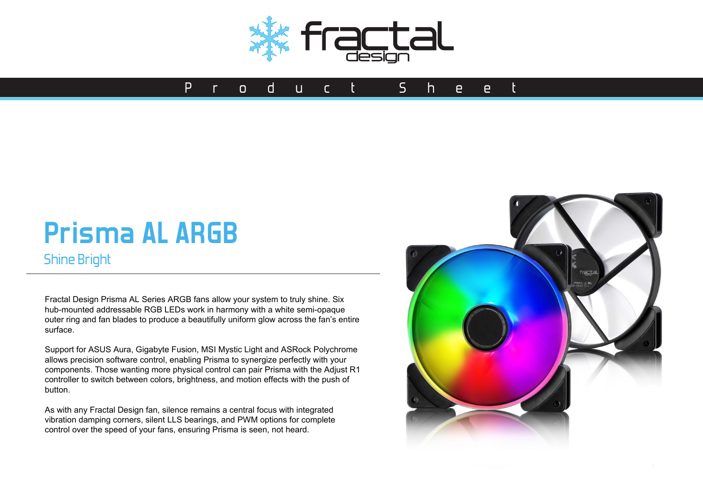

# **Prisma AL ARGB**

Shine Bright

Fractal Design Prisma AL Series ARGB fans allow your system to truly shine. Six hub-mounted addressable RGB LEDs work in harmony with a white semi-opaque outer ring and fan blades to produce a beautifully uniform glow across the fan's entire surface.

Support for ASUS Aura, Gigabyte Fusion, MSI Mystic Light and ASRock Polychrome allows precision software control, enabling Prisma to synergize perfectly with your components. Those wanting more physical control can pair Prisma with the Adjust R1 controller to switch between colors, brightness, and motion effects with the push of button.

As with any Fractal Design fan, silence remains a central focus with integrated vibration damping corners, silent LLS bearings, and PWM options for complete control over the speed of your fans, ensuring Prisma is seen, not heard.

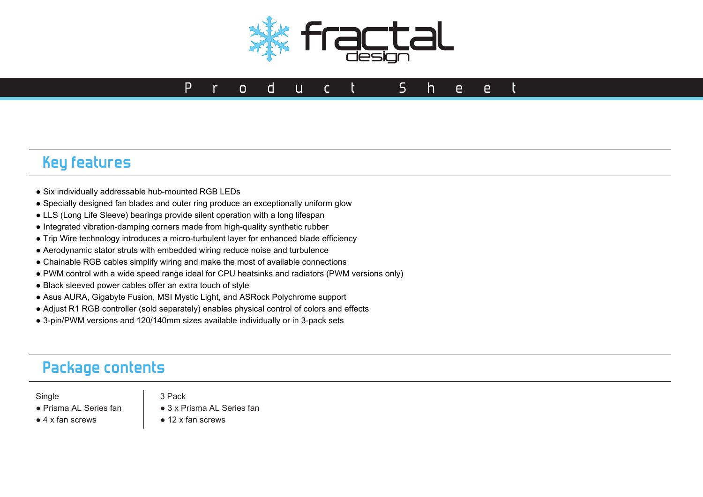

#### **Key features**

- Six individually addressable hub-mounted RGB LEDs
- Specially designed fan blades and outer ring produce an exceptionally uniform glow
- LLS (Long Life Sleeve) bearings provide silent operation with a long lifespan
- Integrated vibration-damping corners made from high-quality synthetic rubber
- Trip Wire technology introduces a micro-turbulent layer for enhanced blade efficiency
- Aerodynamic stator struts with embedded wiring reduce noise and turbulence
- Chainable RGB cables simplify wiring and make the most of available connections
- PWM control with a wide speed range ideal for CPU heatsinks and radiators (PWM versions only)
- Black sleeved power cables offer an extra touch of style
- Asus AURA, Gigabyte Fusion, MSI Mystic Light, and ASRock Polychrome support
- Adjust R1 RGB controller (sold separately) enables physical control of colors and effects
- 3-pin/PWM versions and 120/140mm sizes available individually or in 3-pack sets

#### **Package contents**

#### Single

- Prisma AL Series fan
- $\bullet$  4 x fan screws
- 3 Pack
- 3 x Prisma AL Series fan
- 12 x fan screws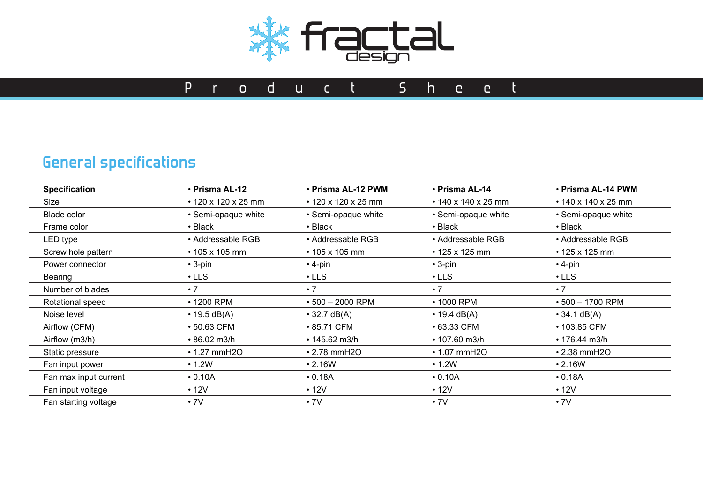

# **General specifications**

| <b>Specification</b>  | ∙ Prisma AL-12      | • Prisma AL-12 PWM     | <b>・Prisma AL-14</b> | <b>⋅ Prisma AL-14 PWM</b> |
|-----------------------|---------------------|------------------------|----------------------|---------------------------|
| Size                  | • 120 x 120 x 25 mm | • 120 x 120 x 25 mm    | • 140 x 140 x 25 mm  | $\cdot$ 140 x 140 x 25 mm |
| Blade color           | • Semi-opaque white | • Semi-opaque white    | • Semi-opaque white  | • Semi-opaque white       |
| Frame color           | $\cdot$ Black       | $\cdot$ Black          | $\cdot$ Black        | $\cdot$ Black             |
| LED type              | • Addressable RGB   | • Addressable RGB      | • Addressable RGB    | • Addressable RGB         |
| Screw hole pattern    | • 105 x 105 mm      | • 105 x 105 mm         | $\cdot$ 125 x 125 mm | • 125 x 125 mm            |
| Power connector       | $\cdot$ 3-pin       | $\cdot$ 4-pin          | $\cdot$ 3-pin        | $\cdot$ 4-pin             |
| Bearing               | $\cdot$ LLS         | $\cdot$ LLS            | $\cdot$ LLS          | $\cdot$ LLS               |
| Number of blades      | $\cdot$ 7           | $\cdot$ 7              | $\cdot$ 7            | $\cdot$ 7                 |
| Rotational speed      | • 1200 RPM          | $\cdot$ 500 - 2000 RPM | • 1000 RPM           | $\cdot$ 500 - 1700 RPM    |
| Noise level           | $\cdot$ 19.5 dB(A)  | $\cdot$ 32.7 dB(A)     | • 19.4 $dB(A)$       | $\cdot$ 34.1 dB(A)        |
| Airflow (CFM)         | $\cdot$ 50.63 CFM   | • 85.71 CFM            | • 63.33 CFM          | • 103.85 CFM              |
| Airflow (m3/h)        | $\cdot$ 86.02 m3/h  | $\cdot$ 145.62 m3/h    | $\cdot$ 107.60 m3/h  | $\cdot$ 176.44 m3/h       |
| Static pressure       | $\cdot$ 1.27 mmH2O  | $\cdot$ 2.78 mmH2O     | $\cdot$ 1.07 mmH2O   | $\cdot$ 2.38 mmH2O        |
| Fan input power       | $\cdot$ 1.2W        | $\cdot$ 2.16W          | $\cdot$ 1.2W         | $\cdot$ 2.16W             |
| Fan max input current | $\cdot$ 0.10A       | $\cdot$ 0.18A          | $\cdot$ 0.10A        | $\cdot$ 0.18A             |
| Fan input voltage     | $\cdot$ 12V         | $\cdot$ 12V            | $\cdot$ 12V          | $\cdot$ 12V               |
| Fan starting voltage  | $\cdot$ 7V          | $\cdot$ 7V             | $\cdot$ 7V           | $\cdot$ 7V                |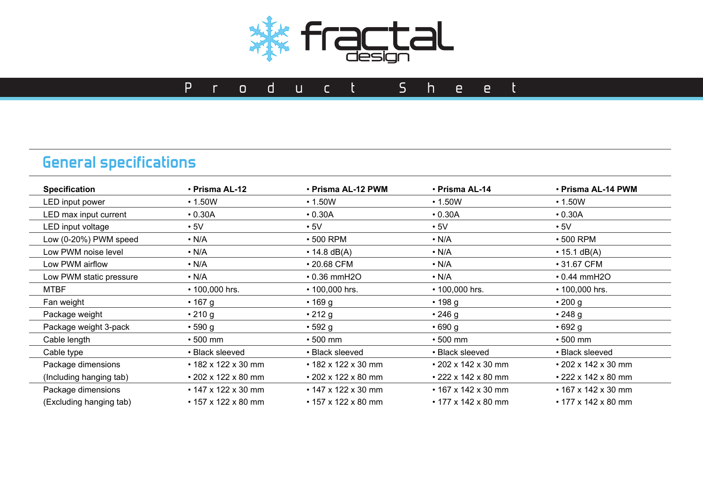

#### Pro du ct Sheet

# **General specifications**

| <b>Specification</b>    | • Prisma AL-12            | • Prisma AL-12 PWM        | • Prisma AL-14            | • Prisma AL-14 PWM        |
|-------------------------|---------------------------|---------------------------|---------------------------|---------------------------|
| LED input power         | $\cdot$ 1.50W             | • 1.50W                   | $\cdot$ 1.50W             | • 1.50W                   |
| LED max input current   | $\cdot$ 0.30A             | $\cdot$ 0.30A             | $\cdot$ 0.30A             | • 0.30A                   |
| LED input voltage       | $\cdot$ 5V                | $\cdot$ 5V                | $\cdot$ 5V                | $\cdot$ 5V                |
| Low (0-20%) PWM speed   | $\cdot$ N/A               | $\cdot$ 500 RPM           | $\cdot$ N/A               | $\cdot$ 500 RPM           |
| Low PWM noise level     | $\cdot$ N/A               | • 14.8 $dB(A)$            | $\cdot$ N/A               | • 15.1 $dB(A)$            |
| Low PWM airflow         | $\cdot$ N/A               | • 20.68 CFM               | $\cdot$ N/A               | • 31.67 CFM               |
| Low PWM static pressure | $\cdot$ N/A               | $\cdot$ 0.36 mmH2O        | $\cdot$ N/A               | $\cdot$ 0.44 mmH2O        |
| MTBF                    | $\cdot$ 100,000 hrs.      | • 100,000 hrs.            | • 100,000 hrs.            | • 100,000 hrs.            |
| Fan weight              | $\cdot$ 167 g             | $\cdot$ 169 g             | $\cdot$ 198 g             | $\cdot$ 200 g             |
| Package weight          | $\cdot$ 210 g             | $\cdot$ 212 g             | $\cdot$ 246 g             | $\cdot$ 248 g             |
| Package weight 3-pack   | $\cdot$ 590 g             | $\cdot$ 592 g             | .690 <sub>g</sub>         | •692g                     |
| Cable length            | $\cdot$ 500 mm            | $\cdot$ 500 mm            | $\cdot$ 500 mm            | $\cdot$ 500 mm            |
| Cable type              | • Black sleeved           | • Black sleeved           | • Black sleeved           | • Black sleeved           |
| Package dimensions      | $\cdot$ 182 x 122 x 30 mm | $\cdot$ 182 x 122 x 30 mm | $\cdot$ 202 x 142 x 30 mm | $\cdot$ 202 x 142 x 30 mm |
| (Including hanging tab) | $\cdot$ 202 x 122 x 80 mm | $\cdot$ 202 x 122 x 80 mm | $\cdot$ 222 x 142 x 80 mm | $\cdot$ 222 x 142 x 80 mm |
| Package dimensions      | $\cdot$ 147 x 122 x 30 mm | $\cdot$ 147 x 122 x 30 mm | $\cdot$ 167 x 142 x 30 mm | $\cdot$ 167 x 142 x 30 mm |
| (Excluding hanging tab) | $\cdot$ 157 x 122 x 80 mm | $\cdot$ 157 x 122 x 80 mm | $\cdot$ 177 x 142 x 80 mm | $\cdot$ 177 x 142 x 80 mm |